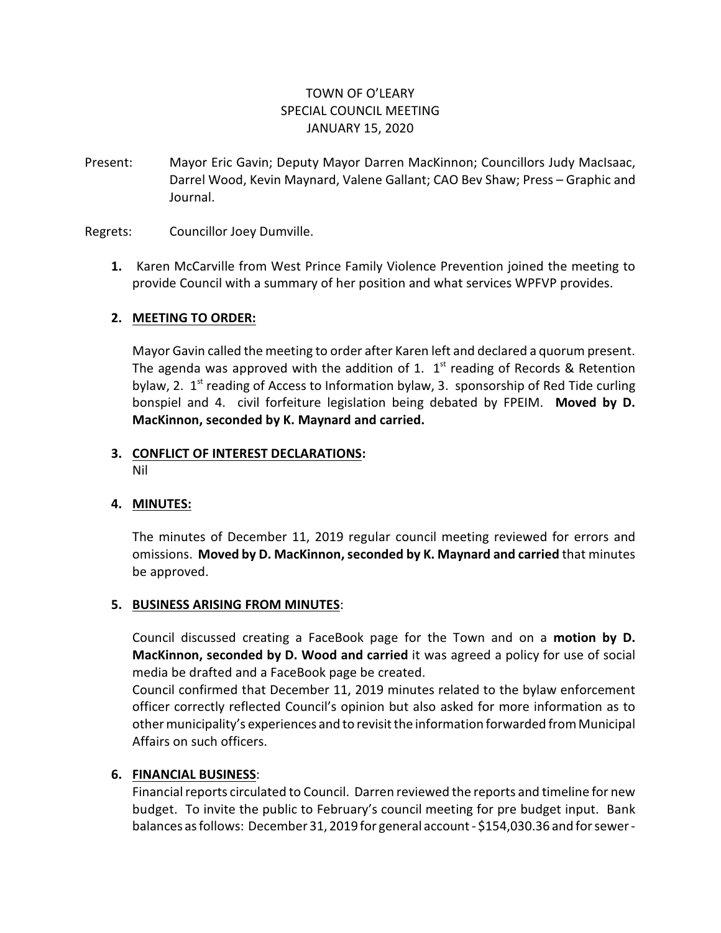## TOWN OF O'LEARY SPECIAL COUNCIL MEETING JANUARY 15, 2020

Present: Mayor Eric Gavin; Deputy Mayor Darren MacKinnon; Councillors Judy MacIsaac, Darrel Wood, Kevin Maynard, Valene Gallant; CAO Bev Shaw; Press – Graphic and Journal.

### Regrets: Councillor Joey Dumville.

**1.** Karen McCarville from West Prince Family Violence Prevention joined the meeting to provide Council with a summary of her position and what services WPFVP provides.

### **2. MEETING TO ORDER:**

Mayor Gavin called the meeting to order after Karen left and declared a quorum present. The agenda was approved with the addition of 1.  $1<sup>st</sup>$  reading of Records & Retention bylaw, 2. 1<sup>st</sup> reading of Access to Information bylaw, 3. sponsorship of Red Tide curling bonspiel and 4. civil forfeiture legislation being debated by FPEIM. **Moved by D. MacKinnon, seconded by K. Maynard and carried.**

# **3. CONFLICT OF INTEREST DECLARATIONS:**

Nil

### **4. MINUTES:**

The minutes of December 11, 2019 regular council meeting reviewed for errors and omissions. **Moved by D. MacKinnon, seconded by K. Maynard and carried** that minutes be approved.

### **5. BUSINESS ARISING FROM MINUTES**:

Council discussed creating a FaceBook page for the Town and on a **motion by D. MacKinnon, seconded by D. Wood and carried** it was agreed a policy for use of social media be drafted and a FaceBook page be created.

Council confirmed that December 11, 2019 minutes related to the bylaw enforcement officer correctly reflected Council's opinion but also asked for more information as to othermunicipality's experiences and to revisit the information forwarded from Municipal Affairs on such officers.

### **6. FINANCIAL BUSINESS**:

Financial reports circulated to Council. Darren reviewed the reports and timeline for new budget. To invite the public to February's council meeting for pre budget input. Bank balances as follows: December 31, 2019 for general account- \$154,030.36 and forsewer -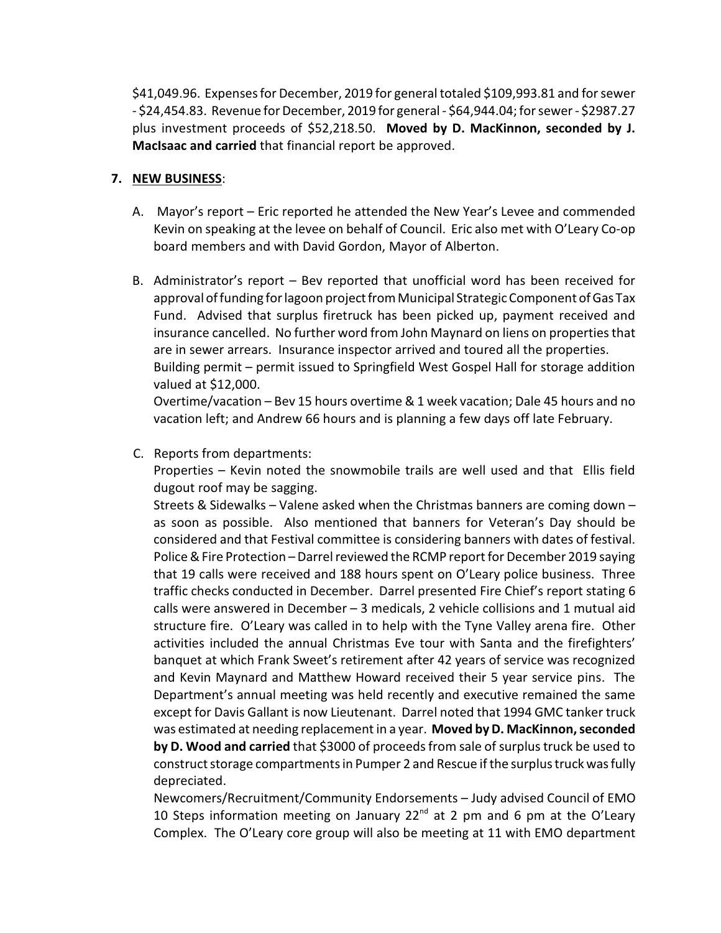\$41,049.96. Expenses for December, 2019 for general totaled \$109,993.81 and forsewer - \$24,454.83. Revenue for December, 2019 for general - \$64,944.04; for sewer - \$2987.27 plus investment proceeds of \$52,218.50. **Moved by D. MacKinnon, seconded by J. MacIsaac and carried** that financial report be approved.

## **7. NEW BUSINESS**:

- A. Mayor's report Eric reported he attended the New Year's Levee and commended Kevin on speaking at the levee on behalf of Council. Eric also met with O'Leary Co-op board members and with David Gordon, Mayor of Alberton.
- B. Administrator's report Bev reported that unofficial word has been received for approval of funding for lagoon project from Municipal Strategic Component of Gas Tax Fund. Advised that surplus firetruck has been picked up, payment received and insurance cancelled. No further word from John Maynard on liens on properties that are in sewer arrears. Insurance inspector arrived and toured all the properties. Building permit – permit issued to Springfield West Gospel Hall for storage addition valued at \$12,000.

Overtime/vacation – Bev 15 hours overtime & 1 week vacation; Dale 45 hours and no vacation left; and Andrew 66 hours and is planning a few days off late February.

C. Reports from departments:

Properties – Kevin noted the snowmobile trails are well used and that Ellis field dugout roof may be sagging.

Streets & Sidewalks – Valene asked when the Christmas banners are coming down – as soon as possible. Also mentioned that banners for Veteran's Day should be considered and that Festival committee is considering banners with dates of festival. Police & Fire Protection – Darrel reviewed the RCMP report for December 2019 saying that 19 calls were received and 188 hours spent on O'Leary police business. Three traffic checks conducted in December. Darrel presented Fire Chief's report stating 6 calls were answered in December – 3 medicals, 2 vehicle collisions and 1 mutual aid structure fire. O'Leary was called in to help with the Tyne Valley arena fire. Other activities included the annual Christmas Eve tour with Santa and the firefighters' banquet at which Frank Sweet's retirement after 42 years of service was recognized and Kevin Maynard and Matthew Howard received their 5 year service pins. The Department's annual meeting was held recently and executive remained the same except for Davis Gallant is now Lieutenant. Darrel noted that 1994 GMC tanker truck was estimated at needing replacement in a year. **Moved by D. MacKinnon,seconded by D. Wood and carried** that \$3000 of proceeds from sale of surplus truck be used to construct storage compartments in Pumper 2 and Rescue if the surplus truck was fully depreciated.

Newcomers/Recruitment/Community Endorsements – Judy advised Council of EMO 10 Steps information meeting on January  $22^{nd}$  at 2 pm and 6 pm at the O'Leary Complex. The O'Leary core group will also be meeting at 11 with EMO department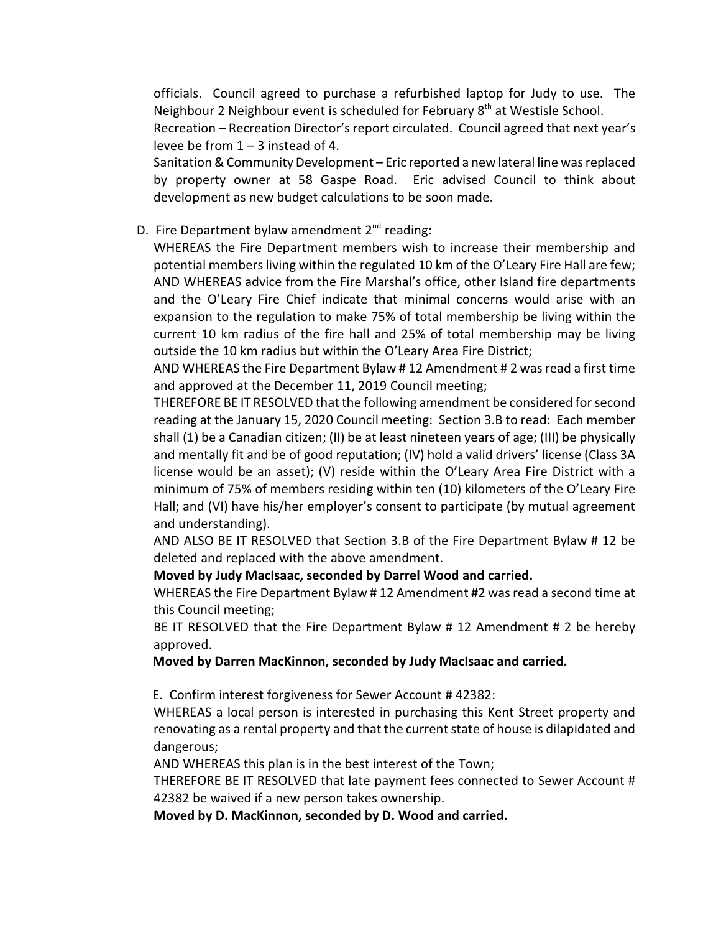officials. Council agreed to purchase a refurbished laptop for Judy to use. The Neighbour 2 Neighbour event is scheduled for February 8<sup>th</sup> at Westisle School.

Recreation – Recreation Director's report circulated. Council agreed that next year's levee be from  $1 - 3$  instead of 4.

Sanitation & Community Development – Eric reported a new lateral line was replaced by property owner at 58 Gaspe Road. Eric advised Council to think about development as new budget calculations to be soon made.

D. Fire Department bylaw amendment  $2^{nd}$  reading:

WHEREAS the Fire Department members wish to increase their membership and potential members living within the regulated 10 km of the O'Leary Fire Hall are few; AND WHEREAS advice from the Fire Marshal's office, other Island fire departments and the O'Leary Fire Chief indicate that minimal concerns would arise with an expansion to the regulation to make 75% of total membership be living within the current 10 km radius of the fire hall and 25% of total membership may be living outside the 10 km radius but within the O'Leary Area Fire District;

AND WHEREAS the Fire Department Bylaw # 12 Amendment # 2 was read a first time and approved at the December 11, 2019 Council meeting;

THEREFORE BE IT RESOLVED that the following amendment be considered forsecond reading at the January 15, 2020 Council meeting: Section 3.B to read: Each member shall (1) be a Canadian citizen; (II) be at least nineteen years of age; (III) be physically and mentally fit and be of good reputation; (IV) hold a valid drivers' license (Class 3A license would be an asset); (V) reside within the O'Leary Area Fire District with a minimum of 75% of members residing within ten (10) kilometers of the O'Leary Fire Hall; and (VI) have his/her employer's consent to participate (by mutual agreement and understanding).

AND ALSO BE IT RESOLVED that Section 3.B of the Fire Department Bylaw # 12 be deleted and replaced with the above amendment.

**Moved by Judy MacIsaac, seconded by Darrel Wood and carried.**

WHEREAS the Fire Department Bylaw # 12 Amendment #2 was read a second time at this Council meeting;

BE IT RESOLVED that the Fire Department Bylaw # 12 Amendment # 2 be hereby approved.

**Moved by Darren MacKinnon, seconded by Judy MacIsaac and carried.**

E. Confirm interest forgiveness for Sewer Account # 42382:

WHEREAS a local person is interested in purchasing this Kent Street property and renovating as a rental property and that the current state of house is dilapidated and dangerous;

AND WHEREAS this plan is in the best interest of the Town;

THEREFORE BE IT RESOLVED that late payment fees connected to Sewer Account # 42382 be waived if a new person takes ownership.

**Moved by D. MacKinnon, seconded by D. Wood and carried.**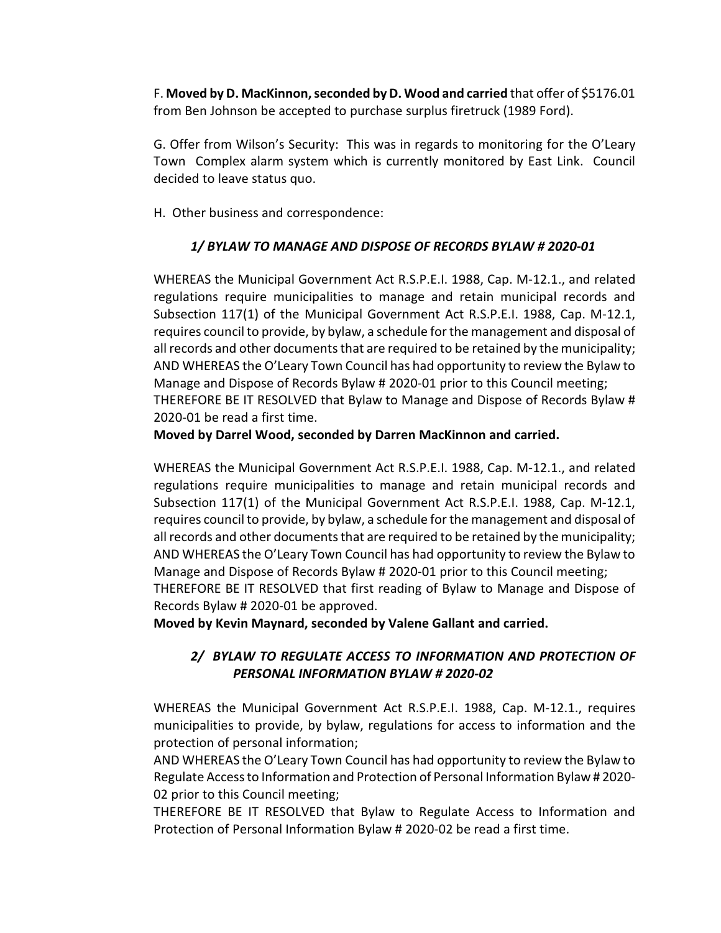F. **Moved by D. MacKinnon,seconded by D. Wood and carried** that offer of \$5176.01 from Ben Johnson be accepted to purchase surplus firetruck (1989 Ford).

G. Offer from Wilson's Security: This was in regards to monitoring for the O'Leary Town Complex alarm system which is currently monitored by East Link. Council decided to leave status quo.

H. Other business and correspondence:

# *1/ BYLAW TO MANAGE AND DISPOSE OF RECORDS BYLAW # 2020-01*

WHEREAS the Municipal Government Act R.S.P.E.I. 1988, Cap. M-12.1., and related regulations require municipalities to manage and retain municipal records and Subsection 117(1) of the Municipal Government Act R.S.P.E.I. 1988, Cap. M-12.1, requires council to provide, by bylaw, a schedule forthe management and disposal of all records and other documents that are required to be retained by the municipality; AND WHEREAS the O'Leary Town Council has had opportunity to review the Bylaw to Manage and Dispose of Records Bylaw # 2020-01 prior to this Council meeting; THEREFORE BE IT RESOLVED that Bylaw to Manage and Dispose of Records Bylaw # 2020-01 be read a first time.

**Moved by Darrel Wood, seconded by Darren MacKinnon and carried.**

WHEREAS the Municipal Government Act R.S.P.E.I. 1988, Cap. M-12.1., and related regulations require municipalities to manage and retain municipal records and Subsection 117(1) of the Municipal Government Act R.S.P.E.I. 1988, Cap. M-12.1, requires council to provide, by bylaw, a schedule for the management and disposal of all records and other documents that are required to be retained by the municipality; AND WHEREAS the O'Leary Town Council has had opportunity to review the Bylaw to Manage and Dispose of Records Bylaw # 2020-01 prior to this Council meeting; THEREFORE BE IT RESOLVED that first reading of Bylaw to Manage and Dispose of Records Bylaw # 2020-01 be approved.

**Moved by Kevin Maynard, seconded by Valene Gallant and carried.**

# *2/ BYLAW TO REGULATE ACCESS TO INFORMATION AND PROTECTION OF PERSONAL INFORMATION BYLAW # 2020-02*

WHEREAS the Municipal Government Act R.S.P.E.I. 1988, Cap. M-12.1., requires municipalities to provide, by bylaw, regulations for access to information and the protection of personal information;

AND WHEREAS the O'Leary Town Council has had opportunity to review the Bylaw to Regulate Access to Information and Protection of Personal Information Bylaw # 2020- 02 prior to this Council meeting;

THEREFORE BE IT RESOLVED that Bylaw to Regulate Access to Information and Protection of Personal Information Bylaw # 2020-02 be read a first time.